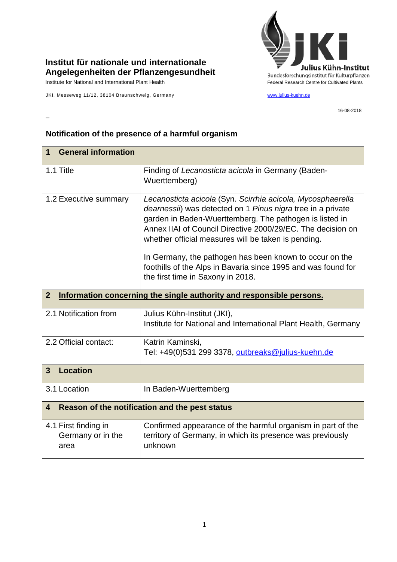

## **Institut für nationale und internationale Angelegenheiten der Pflanzengesundheit**

Institute for National and International Plant Health Feature And Theorem Federal Research Centre for Cultivated Plants

–

JKI, Messeweg 11/12, 38104 Braunschweig, Germany [www.julius-kuehn.de](http://www.julius-kuehn.de/)

16-08-2018

## **1 General information** 1.1 Title Finding of *Lecanosticta acicola* in Germany (Baden-Wuerttemberg) 1.2 Executive summary *Lecanosticta acicola* (Syn. *Scirrhia acicola, Mycosphaerella dearnessii*) was detected on 1 *Pinus nigra* tree in a private garden in Baden-Wuerttemberg. The pathogen is listed in Annex IIAI of Council Directive 2000/29/EC. The decision on whether official measures will be taken is pending. In Germany, the pathogen has been known to occur on the foothills of the Alps in Bavaria since 1995 and was found for the first time in Saxony in 2018. **2 Information concerning the single authority and responsible persons.** 2.1 Notification from  $\vert$  Julius Kühn-Institut (JKI), Institute for National and International Plant Health, Germany 2.2 Official contact: Katrin Kaminski, Tel: +49(0)531 299 3378, [outbreaks@julius-kuehn.de](mailto:outbreaks@julius-kuehn.de) **3 Location**  3.1 Location | In Baden-Wuerttemberg **4 Reason of the notification and the pest status** 4.1 First finding in Germany or in the area Confirmed appearance of the harmful organism in part of the territory of Germany, in which its presence was previously unknown

## **Notification of the presence of a harmful organism**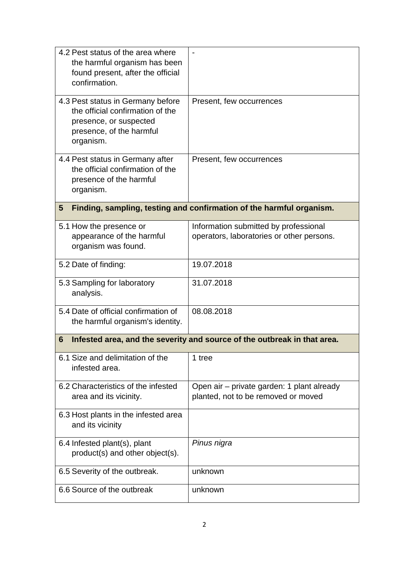| 4.2 Pest status of the area where<br>the harmful organism has been<br>found present, after the official<br>confirmation.                 |                                                                                    |
|------------------------------------------------------------------------------------------------------------------------------------------|------------------------------------------------------------------------------------|
| 4.3 Pest status in Germany before<br>the official confirmation of the<br>presence, or suspected<br>presence, of the harmful<br>organism. | Present, few occurrences                                                           |
| 4.4 Pest status in Germany after<br>the official confirmation of the<br>presence of the harmful<br>organism.                             | Present, few occurrences                                                           |
| Finding, sampling, testing and confirmation of the harmful organism.<br>$5\phantom{.0}$                                                  |                                                                                    |
| 5.1 How the presence or<br>appearance of the harmful<br>organism was found.                                                              | Information submitted by professional<br>operators, laboratories or other persons. |
| 5.2 Date of finding:                                                                                                                     | 19.07.2018                                                                         |
| 5.3 Sampling for laboratory<br>analysis.                                                                                                 | 31.07.2018                                                                         |
| 5.4 Date of official confirmation of<br>the harmful organism's identity.                                                                 | 08.08.2018                                                                         |
| Infested area, and the severity and source of the outbreak in that area.<br>6                                                            |                                                                                    |
| 6.1 Size and delimitation of the<br>infested area.                                                                                       | 1 tree                                                                             |
| 6.2 Characteristics of the infested<br>area and its vicinity.                                                                            | Open air – private garden: 1 plant already<br>planted, not to be removed or moved  |
| 6.3 Host plants in the infested area<br>and its vicinity                                                                                 |                                                                                    |
| 6.4 Infested plant(s), plant<br>product(s) and other object(s).                                                                          | Pinus nigra                                                                        |
| 6.5 Severity of the outbreak.                                                                                                            | unknown                                                                            |
| 6.6 Source of the outbreak                                                                                                               | unknown                                                                            |